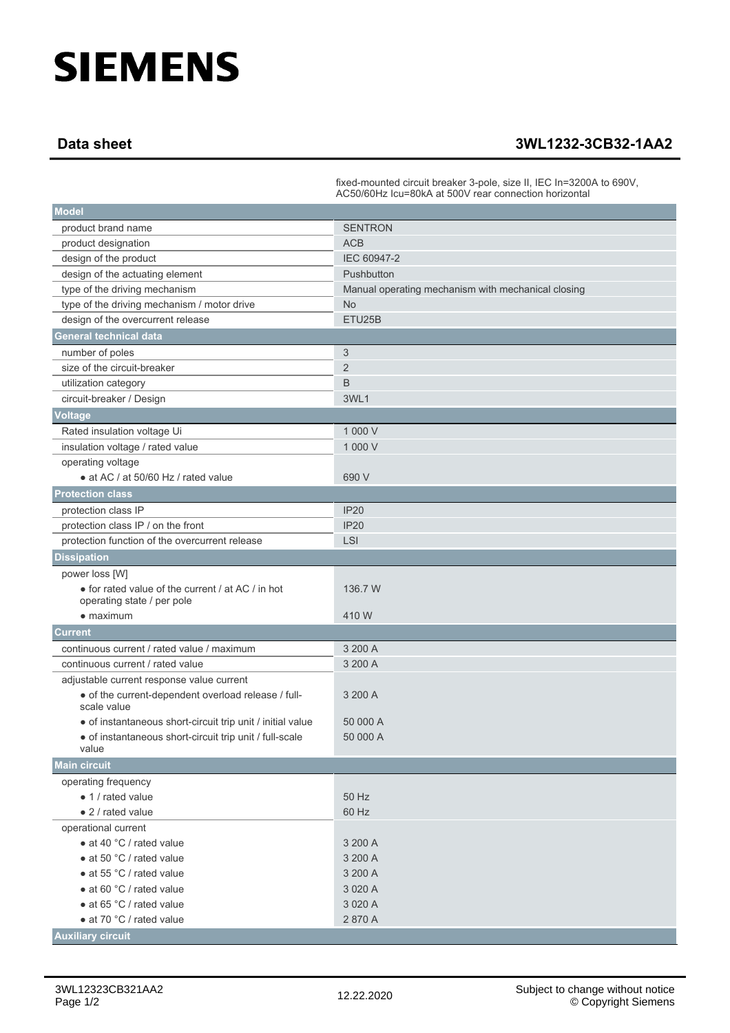## **SIEMENS**

## **Data sheet 3WL1232-3CB32-1AA2**

|                                                                  | fixed-mounted circuit breaker 3-pole, size II, IEC In=3200A to 690V,<br>AC50/60Hz Icu=80kA at 500V rear connection horizontal |
|------------------------------------------------------------------|-------------------------------------------------------------------------------------------------------------------------------|
| <b>Model</b>                                                     |                                                                                                                               |
| product brand name                                               | <b>SENTRON</b>                                                                                                                |
| product designation                                              | <b>ACB</b>                                                                                                                    |
| design of the product                                            | IEC 60947-2                                                                                                                   |
| design of the actuating element                                  | Pushbutton                                                                                                                    |
| type of the driving mechanism                                    | Manual operating mechanism with mechanical closing                                                                            |
| type of the driving mechanism / motor drive                      | <b>No</b>                                                                                                                     |
| design of the overcurrent release                                | ETU25B                                                                                                                        |
| <b>General technical data</b>                                    |                                                                                                                               |
| number of poles                                                  | 3                                                                                                                             |
| size of the circuit-breaker                                      | $\overline{2}$                                                                                                                |
| utilization category                                             | B                                                                                                                             |
| circuit-breaker / Design                                         | 3WL1                                                                                                                          |
| <b>Voltage</b>                                                   |                                                                                                                               |
| Rated insulation voltage Ui                                      | 1 000 V                                                                                                                       |
| insulation voltage / rated value                                 | 1 000 V                                                                                                                       |
| operating voltage                                                |                                                                                                                               |
| • at AC / at 50/60 Hz / rated value                              | 690 V                                                                                                                         |
| <b>Protection class</b>                                          |                                                                                                                               |
| protection class IP                                              | IP20                                                                                                                          |
| protection class IP / on the front                               | IP20                                                                                                                          |
| protection function of the overcurrent release                   | LSI                                                                                                                           |
| <b>Dissipation</b>                                               |                                                                                                                               |
| power loss [W]                                                   |                                                                                                                               |
| • for rated value of the current / at AC / in hot                | 136.7 W                                                                                                                       |
| operating state / per pole                                       |                                                                                                                               |
| $\bullet$ maximum                                                | 410 W                                                                                                                         |
| <b>Current</b>                                                   |                                                                                                                               |
| continuous current / rated value / maximum                       | 3 200 A                                                                                                                       |
| continuous current / rated value                                 | 3 200 A                                                                                                                       |
| adjustable current response value current                        |                                                                                                                               |
| • of the current-dependent overload release / full-              | 3 200 A                                                                                                                       |
| scale value                                                      |                                                                                                                               |
| · of instantaneous short-circuit trip unit / initial value       | 50 000 A                                                                                                                      |
| · of instantaneous short-circuit trip unit / full-scale<br>value | 50 000 A                                                                                                                      |
| <b>Main circuit</b>                                              |                                                                                                                               |
| operating frequency                                              |                                                                                                                               |
| • 1 / rated value                                                | 50 Hz                                                                                                                         |
| • 2 / rated value                                                | 60 Hz                                                                                                                         |
| operational current                                              |                                                                                                                               |
| • at 40 °C / rated value                                         | 3 200 A                                                                                                                       |
| • at 50 °C / rated value                                         | 3 200 A                                                                                                                       |
| • at 55 °C / rated value                                         | 3 200 A                                                                                                                       |
| • at 60 °C / rated value                                         | 3 020 A                                                                                                                       |
| • at 65 °C / rated value                                         | 3 020 A                                                                                                                       |
| • at 70 °C / rated value                                         | 2870A                                                                                                                         |
| <b>Auxiliary circuit</b>                                         |                                                                                                                               |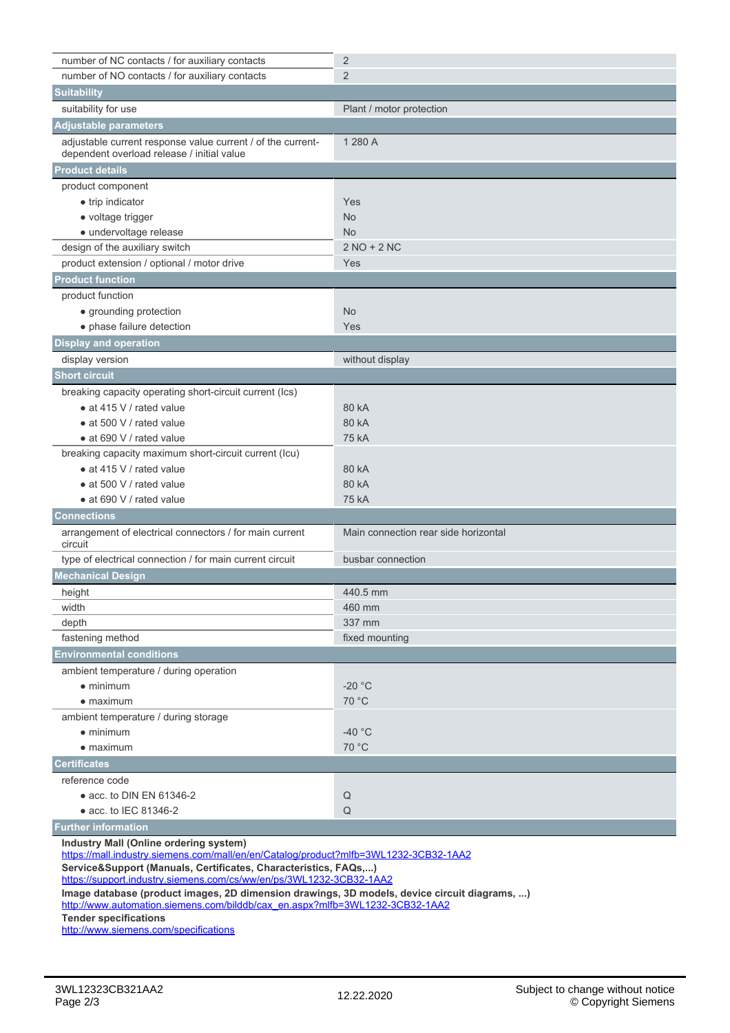| number of NC contacts / for auxiliary contacts                                                                                         | $\overline{2}$                       |
|----------------------------------------------------------------------------------------------------------------------------------------|--------------------------------------|
| number of NO contacts / for auxiliary contacts                                                                                         | $\overline{2}$                       |
| <b>Suitability</b>                                                                                                                     |                                      |
| suitability for use                                                                                                                    | Plant / motor protection             |
| <b>Adjustable parameters</b>                                                                                                           |                                      |
| adjustable current response value current / of the current-<br>dependent overload release / initial value                              | 1 280 A                              |
| <b>Product details</b>                                                                                                                 |                                      |
| product component                                                                                                                      |                                      |
| • trip indicator                                                                                                                       | Yes                                  |
| • voltage trigger                                                                                                                      | <b>No</b>                            |
| · undervoltage release                                                                                                                 | <b>No</b>                            |
| design of the auxiliary switch                                                                                                         | $2 NO + 2 NC$                        |
| product extension / optional / motor drive                                                                                             | Yes                                  |
| <b>Product function</b>                                                                                                                |                                      |
| product function                                                                                                                       |                                      |
| • grounding protection                                                                                                                 | <b>No</b>                            |
| • phase failure detection                                                                                                              | Yes                                  |
| <b>Display and operation</b>                                                                                                           |                                      |
| display version                                                                                                                        | without display                      |
| <b>Short circuit</b>                                                                                                                   |                                      |
| breaking capacity operating short-circuit current (Ics)                                                                                |                                      |
| $\bullet$ at 415 V / rated value                                                                                                       | 80 kA                                |
| $\bullet$ at 500 V / rated value                                                                                                       | 80 kA                                |
| • at 690 V / rated value                                                                                                               | 75 kA                                |
| breaking capacity maximum short-circuit current (Icu)                                                                                  |                                      |
| • at 415 V / rated value                                                                                                               | 80 kA                                |
| $\bullet$ at 500 V / rated value                                                                                                       | 80 kA                                |
| • at 690 V / rated value                                                                                                               | 75 kA                                |
| <b>Connections</b>                                                                                                                     |                                      |
| arrangement of electrical connectors / for main current                                                                                | Main connection rear side horizontal |
| circuit                                                                                                                                |                                      |
| type of electrical connection / for main current circuit                                                                               | busbar connection                    |
| <b>Mechanical Design</b>                                                                                                               |                                      |
| height                                                                                                                                 | 440.5 mm                             |
| width                                                                                                                                  | 460 mm                               |
| depth                                                                                                                                  | 337 mm                               |
| fastening method                                                                                                                       | fixed mounting                       |
| <b>Environmental conditions</b>                                                                                                        |                                      |
| ambient temperature / during operation                                                                                                 |                                      |
| $\bullet$ minimum                                                                                                                      | $-20 °C$                             |
| $\bullet$ maximum                                                                                                                      | 70 °C                                |
| ambient temperature / during storage                                                                                                   |                                      |
| $\bullet$ minimum                                                                                                                      | $-40 °C$                             |
| $\bullet$ maximum                                                                                                                      | 70 °C                                |
| <b>Certificates</b>                                                                                                                    |                                      |
| reference code                                                                                                                         |                                      |
| $\bullet$ acc. to DIN EN 61346-2                                                                                                       | $\mathsf Q$                          |
| $\bullet$ acc. to IEC 81346-2                                                                                                          | Q                                    |
| <b>Further information</b>                                                                                                             |                                      |
| Industry Mall (Online ordering system)                                                                                                 |                                      |
| https://mall.industry.siemens.com/mall/en/en/Catalog/product?mlfb=3WL1232-3CB32-1AA2                                                   |                                      |
| Service&Support (Manuals, Certificates, Characteristics, FAQs,)<br>https://support.industry.siemens.com/cs/ww/en/ps/3WL1232-3CB32-1AA2 |                                      |
| Image database (product images, 2D dimension drawings, 3D models, device circuit diagrams, )                                           |                                      |
| http://www.automation.siemens.com/bilddb/cax_en.aspx?mlfb=3WL1232-3CB32-1AA2                                                           |                                      |

**Tender specifications**

<http://www.siemens.com/specifications>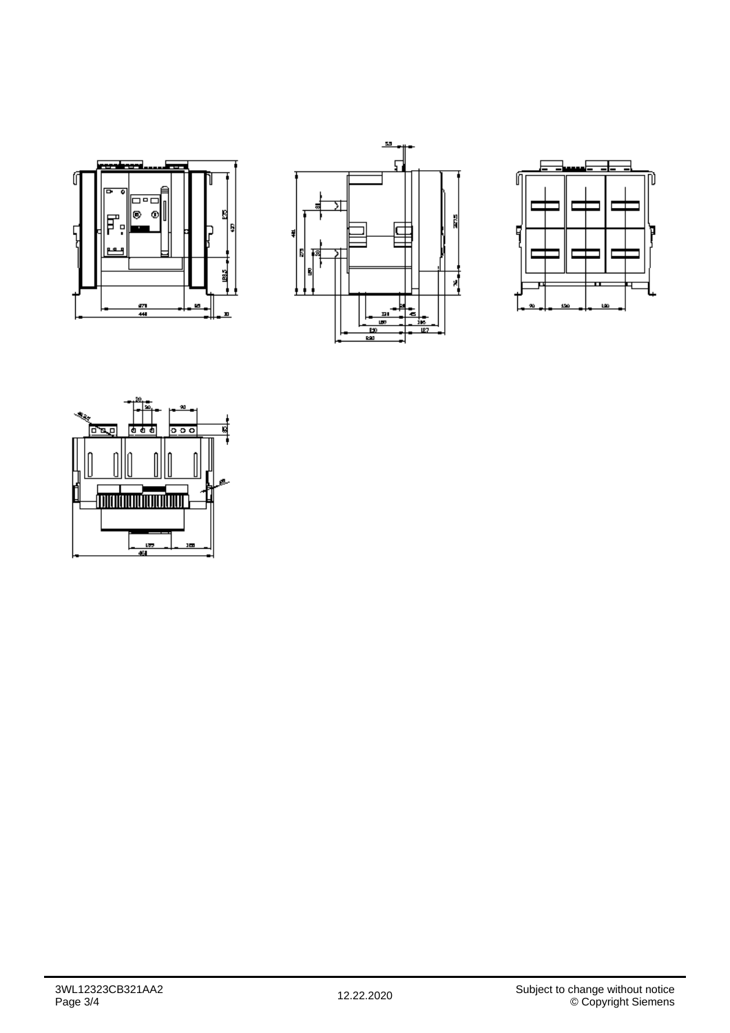